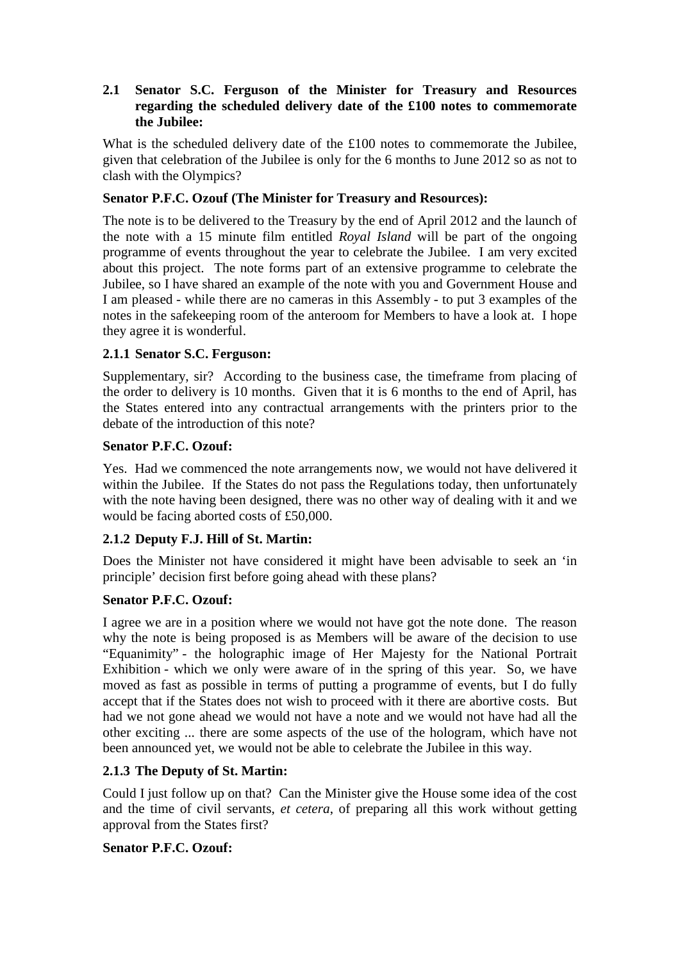## **2.1 Senator S.C. Ferguson of the Minister for Treasury and Resources regarding the scheduled delivery date of the £100 notes to commemorate the Jubilee:**

What is the scheduled delivery date of the £100 notes to commemorate the Jubilee, given that celebration of the Jubilee is only for the 6 months to June 2012 so as not to clash with the Olympics?

#### **Senator P.F.C. Ozouf (The Minister for Treasury and Resources):**

The note is to be delivered to the Treasury by the end of April 2012 and the launch of the note with a 15 minute film entitled *Royal Island* will be part of the ongoing programme of events throughout the year to celebrate the Jubilee. I am very excited about this project. The note forms part of an extensive programme to celebrate the Jubilee, so I have shared an example of the note with you and Government House and I am pleased - while there are no cameras in this Assembly - to put 3 examples of the notes in the safekeeping room of the anteroom for Members to have a look at. I hope they agree it is wonderful.

#### **2.1.1 Senator S.C. Ferguson:**

Supplementary, sir? According to the business case, the timeframe from placing of the order to delivery is 10 months. Given that it is 6 months to the end of April, has the States entered into any contractual arrangements with the printers prior to the debate of the introduction of this note?

#### **Senator P.F.C. Ozouf:**

Yes. Had we commenced the note arrangements now, we would not have delivered it within the Jubilee. If the States do not pass the Regulations today, then unfortunately with the note having been designed, there was no other way of dealing with it and we would be facing aborted costs of £50,000.

#### **2.1.2 Deputy F.J. Hill of St. Martin:**

Does the Minister not have considered it might have been advisable to seek an 'in principle' decision first before going ahead with these plans?

#### **Senator P.F.C. Ozouf:**

I agree we are in a position where we would not have got the note done. The reason why the note is being proposed is as Members will be aware of the decision to use "Equanimity" - the holographic image of Her Majesty for the National Portrait Exhibition - which we only were aware of in the spring of this year. So, we have moved as fast as possible in terms of putting a programme of events, but I do fully accept that if the States does not wish to proceed with it there are abortive costs. But had we not gone ahead we would not have a note and we would not have had all the other exciting ... there are some aspects of the use of the hologram, which have not been announced yet, we would not be able to celebrate the Jubilee in this way.

## **2.1.3 The Deputy of St. Martin:**

Could I just follow up on that? Can the Minister give the House some idea of the cost and the time of civil servants, *et cetera*, of preparing all this work without getting approval from the States first?

#### **Senator P.F.C. Ozouf:**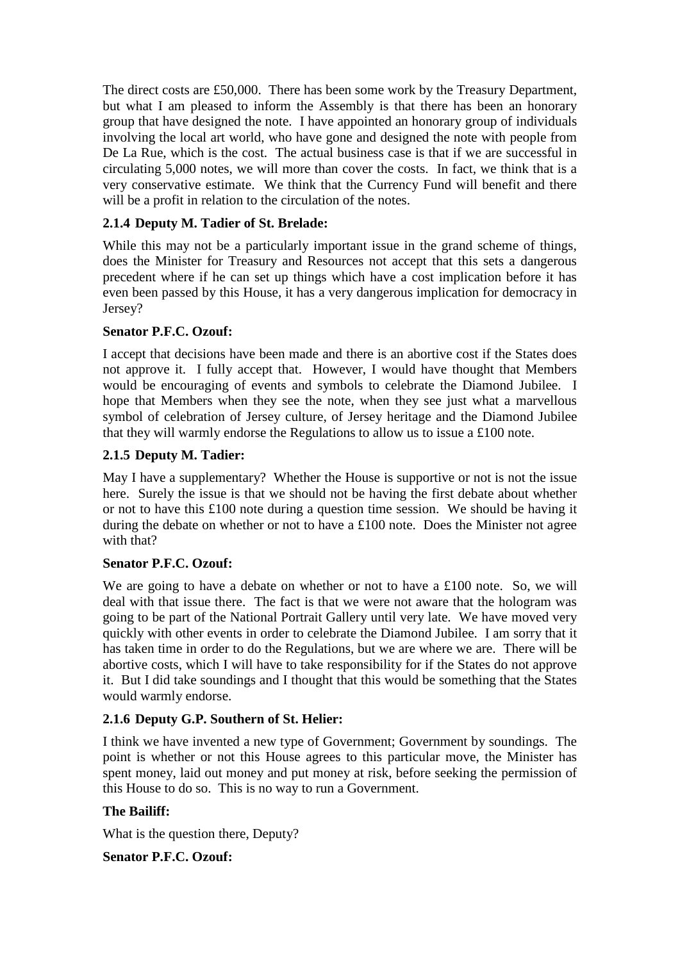The direct costs are £50,000. There has been some work by the Treasury Department, but what I am pleased to inform the Assembly is that there has been an honorary group that have designed the note. I have appointed an honorary group of individuals involving the local art world, who have gone and designed the note with people from De La Rue, which is the cost. The actual business case is that if we are successful in circulating 5,000 notes, we will more than cover the costs. In fact, we think that is a very conservative estimate. We think that the Currency Fund will benefit and there will be a profit in relation to the circulation of the notes.

# **2.1.4 Deputy M. Tadier of St. Brelade:**

While this may not be a particularly important issue in the grand scheme of things, does the Minister for Treasury and Resources not accept that this sets a dangerous precedent where if he can set up things which have a cost implication before it has even been passed by this House, it has a very dangerous implication for democracy in Jersey?

## **Senator P.F.C. Ozouf:**

I accept that decisions have been made and there is an abortive cost if the States does not approve it. I fully accept that. However, I would have thought that Members would be encouraging of events and symbols to celebrate the Diamond Jubilee. I hope that Members when they see the note, when they see just what a marvellous symbol of celebration of Jersey culture, of Jersey heritage and the Diamond Jubilee that they will warmly endorse the Regulations to allow us to issue a £100 note.

## **2.1.5 Deputy M. Tadier:**

May I have a supplementary? Whether the House is supportive or not is not the issue here. Surely the issue is that we should not be having the first debate about whether or not to have this £100 note during a question time session. We should be having it during the debate on whether or not to have a £100 note. Does the Minister not agree with that?

## **Senator P.F.C. Ozouf:**

We are going to have a debate on whether or not to have a £100 note. So, we will deal with that issue there. The fact is that we were not aware that the hologram was going to be part of the National Portrait Gallery until very late. We have moved very quickly with other events in order to celebrate the Diamond Jubilee. I am sorry that it has taken time in order to do the Regulations, but we are where we are. There will be abortive costs, which I will have to take responsibility for if the States do not approve it. But I did take soundings and I thought that this would be something that the States would warmly endorse.

## **2.1.6 Deputy G.P. Southern of St. Helier:**

I think we have invented a new type of Government; Government by soundings. The point is whether or not this House agrees to this particular move, the Minister has spent money, laid out money and put money at risk, before seeking the permission of this House to do so. This is no way to run a Government.

## **The Bailiff:**

What is the question there, Deputy?

**Senator P.F.C. Ozouf:**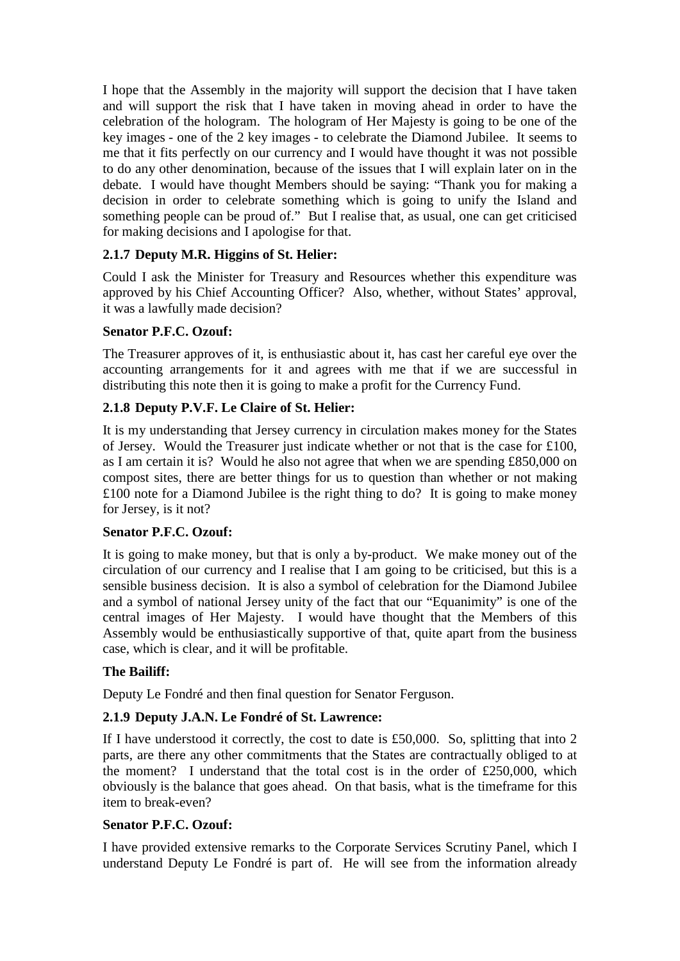I hope that the Assembly in the majority will support the decision that I have taken and will support the risk that I have taken in moving ahead in order to have the celebration of the hologram. The hologram of Her Majesty is going to be one of the key images - one of the 2 key images - to celebrate the Diamond Jubilee. It seems to me that it fits perfectly on our currency and I would have thought it was not possible to do any other denomination, because of the issues that I will explain later on in the debate. I would have thought Members should be saying: "Thank you for making a decision in order to celebrate something which is going to unify the Island and something people can be proud of." But I realise that, as usual, one can get criticised for making decisions and I apologise for that.

## **2.1.7 Deputy M.R. Higgins of St. Helier:**

Could I ask the Minister for Treasury and Resources whether this expenditure was approved by his Chief Accounting Officer? Also, whether, without States' approval, it was a lawfully made decision?

## **Senator P.F.C. Ozouf:**

The Treasurer approves of it, is enthusiastic about it, has cast her careful eye over the accounting arrangements for it and agrees with me that if we are successful in distributing this note then it is going to make a profit for the Currency Fund.

## **2.1.8 Deputy P.V.F. Le Claire of St. Helier:**

It is my understanding that Jersey currency in circulation makes money for the States of Jersey. Would the Treasurer just indicate whether or not that is the case for £100, as I am certain it is? Would he also not agree that when we are spending £850,000 on compost sites, there are better things for us to question than whether or not making £100 note for a Diamond Jubilee is the right thing to do? It is going to make money for Jersey, is it not?

## **Senator P.F.C. Ozouf:**

It is going to make money, but that is only a by-product. We make money out of the circulation of our currency and I realise that I am going to be criticised, but this is a sensible business decision. It is also a symbol of celebration for the Diamond Jubilee and a symbol of national Jersey unity of the fact that our "Equanimity" is one of the central images of Her Majesty. I would have thought that the Members of this Assembly would be enthusiastically supportive of that, quite apart from the business case, which is clear, and it will be profitable.

## **The Bailiff:**

Deputy Le Fondré and then final question for Senator Ferguson.

## **2.1.9 Deputy J.A.N. Le Fondré of St. Lawrence:**

If I have understood it correctly, the cost to date is £50,000. So, splitting that into 2 parts, are there any other commitments that the States are contractually obliged to at the moment? I understand that the total cost is in the order of  $£250,000$ , which obviously is the balance that goes ahead. On that basis, what is the timeframe for this item to break-even?

#### **Senator P.F.C. Ozouf:**

I have provided extensive remarks to the Corporate Services Scrutiny Panel, which I understand Deputy Le Fondré is part of. He will see from the information already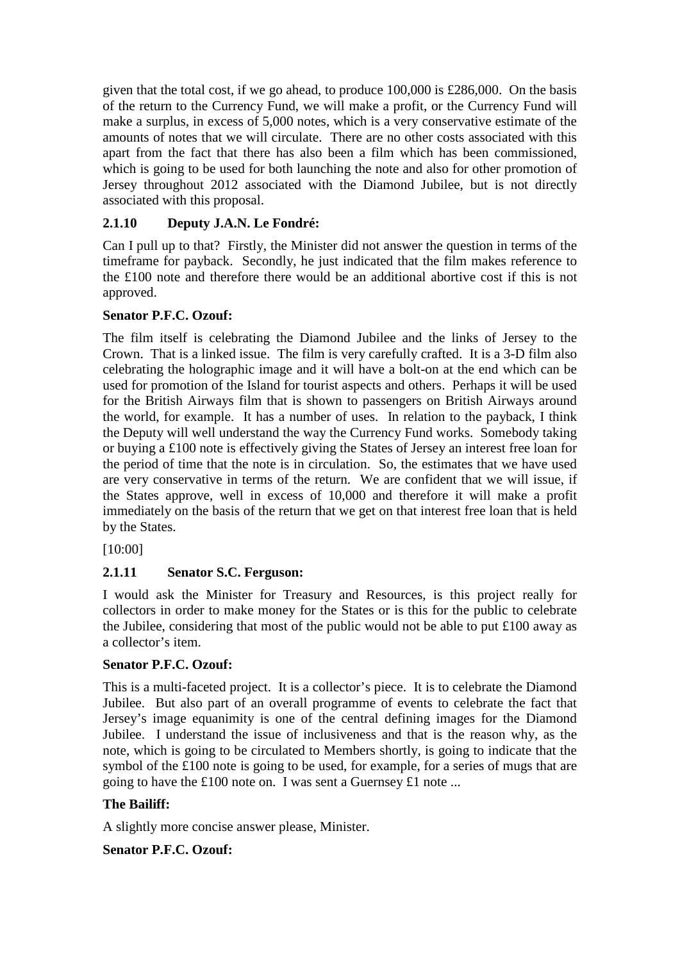given that the total cost, if we go ahead, to produce 100,000 is £286,000. On the basis of the return to the Currency Fund, we will make a profit, or the Currency Fund will make a surplus, in excess of 5,000 notes, which is a very conservative estimate of the amounts of notes that we will circulate. There are no other costs associated with this apart from the fact that there has also been a film which has been commissioned, which is going to be used for both launching the note and also for other promotion of Jersey throughout 2012 associated with the Diamond Jubilee, but is not directly associated with this proposal.

# **2.1.10 Deputy J.A.N. Le Fondré:**

Can I pull up to that? Firstly, the Minister did not answer the question in terms of the timeframe for payback. Secondly, he just indicated that the film makes reference to the £100 note and therefore there would be an additional abortive cost if this is not approved.

# **Senator P.F.C. Ozouf:**

The film itself is celebrating the Diamond Jubilee and the links of Jersey to the Crown. That is a linked issue. The film is very carefully crafted. It is a 3-D film also celebrating the holographic image and it will have a bolt-on at the end which can be used for promotion of the Island for tourist aspects and others. Perhaps it will be used for the British Airways film that is shown to passengers on British Airways around the world, for example. It has a number of uses. In relation to the payback, I think the Deputy will well understand the way the Currency Fund works. Somebody taking or buying a £100 note is effectively giving the States of Jersey an interest free loan for the period of time that the note is in circulation. So, the estimates that we have used are very conservative in terms of the return. We are confident that we will issue, if the States approve, well in excess of 10,000 and therefore it will make a profit immediately on the basis of the return that we get on that interest free loan that is held by the States.

[10:00]

# **2.1.11 Senator S.C. Ferguson:**

I would ask the Minister for Treasury and Resources, is this project really for collectors in order to make money for the States or is this for the public to celebrate the Jubilee, considering that most of the public would not be able to put £100 away as a collector's item.

# **Senator P.F.C. Ozouf:**

This is a multi-faceted project. It is a collector's piece. It is to celebrate the Diamond Jubilee. But also part of an overall programme of events to celebrate the fact that Jersey's image equanimity is one of the central defining images for the Diamond Jubilee. I understand the issue of inclusiveness and that is the reason why, as the note, which is going to be circulated to Members shortly, is going to indicate that the symbol of the £100 note is going to be used, for example, for a series of mugs that are going to have the £100 note on. I was sent a Guernsey £1 note ...

## **The Bailiff:**

A slightly more concise answer please, Minister.

## **Senator P.F.C. Ozouf:**